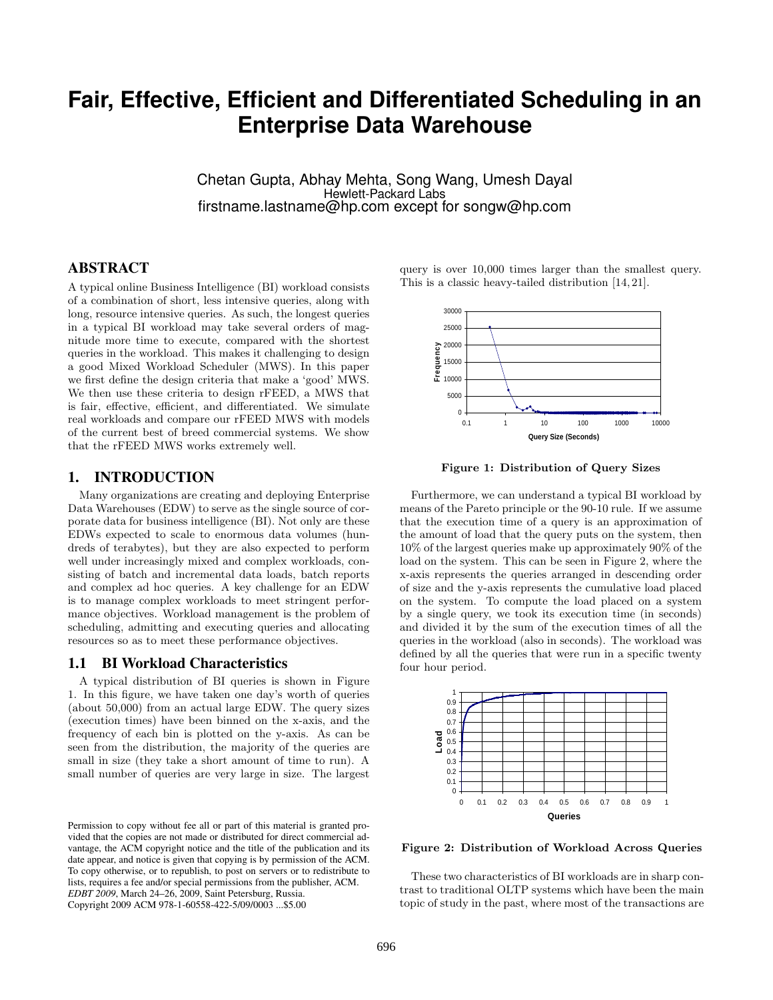# **Fair, Effective, Efficient and Differentiated Scheduling in an Enterprise Data Warehouse**

Chetan Gupta, Abhay Mehta, Song Wang, Umesh Dayal Hewlett-Packard Labs firstname.lastname@hp.com except for songw@hp.com

# ABSTRACT

A typical online Business Intelligence (BI) workload consists of a combination of short, less intensive queries, along with long, resource intensive queries. As such, the longest queries in a typical BI workload may take several orders of magnitude more time to execute, compared with the shortest queries in the workload. This makes it challenging to design a good Mixed Workload Scheduler (MWS). In this paper we first define the design criteria that make a 'good' MWS. We then use these criteria to design rFEED, a MWS that is fair, effective, efficient, and differentiated. We simulate real workloads and compare our rFEED MWS with models of the current best of breed commercial systems. We show that the rFEED MWS works extremely well.

# 1. INTRODUCTION

Many organizations are creating and deploying Enterprise Data Warehouses (EDW) to serve as the single source of corporate data for business intelligence (BI). Not only are these EDWs expected to scale to enormous data volumes (hundreds of terabytes), but they are also expected to perform well under increasingly mixed and complex workloads, consisting of batch and incremental data loads, batch reports and complex ad hoc queries. A key challenge for an EDW is to manage complex workloads to meet stringent performance objectives. Workload management is the problem of scheduling, admitting and executing queries and allocating resources so as to meet these performance objectives.

#### 1.1 BI Workload Characteristics

A typical distribution of BI queries is shown in Figure 1. In this figure, we have taken one day's worth of queries (about 50,000) from an actual large EDW. The query sizes (execution times) have been binned on the x-axis, and the frequency of each bin is plotted on the y-axis. As can be seen from the distribution, the majority of the queries are small in size (they take a short amount of time to run). A small number of queries are very large in size. The largest

query is over 10,000 times larger than the smallest query. This is a classic heavy-tailed distribution [14, 21].



Figure 1: Distribution of Query Sizes

Furthermore, we can understand a typical BI workload by means of the Pareto principle or the 90-10 rule. If we assume that the execution time of a query is an approximation of the amount of load that the query puts on the system, then 10% of the largest queries make up approximately 90% of the load on the system. This can be seen in Figure 2, where the x-axis represents the queries arranged in descending order of size and the y-axis represents the cumulative load placed on the system. To compute the load placed on a system by a single query, we took its execution time (in seconds) and divided it by the sum of the execution times of all the queries in the workload (also in seconds). The workload was defined by all the queries that were run in a specific twenty four hour period.



Figure 2: Distribution of Workload Across Queries

These two characteristics of BI workloads are in sharp contrast to traditional OLTP systems which have been the main topic of study in the past, where most of the transactions are

Permission to copy without fee all or part of this material is granted provided that the copies are not made or distributed for direct commercial advantage, the ACM copyright notice and the title of the publication and its date appear, and notice is given that copying is by permission of the ACM. To copy otherwise, or to republish, to post on servers or to redistribute to lists, requires a fee and/or special permissions from the publisher, ACM. *EDBT 2009*, March 24–26, 2009, Saint Petersburg, Russia. Copyright 2009 ACM 978-1-60558-422-5/09/0003 ...\$5.00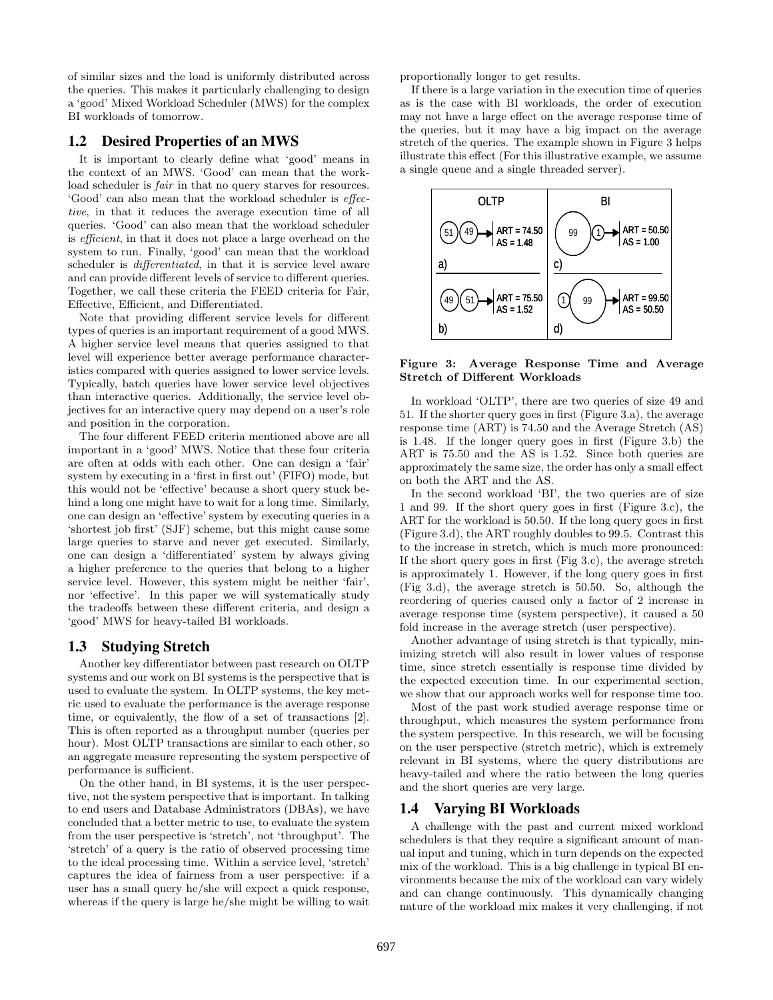of similar sizes and the load is uniformly distributed across the queries. This makes it particularly challenging to design a 'good' Mixed Workload Scheduler (MWS) for the complex BI workloads of tomorrow.

#### 1.2 Desired Properties of an MWS

It is important to clearly define what 'good' means in the context of an MWS. 'Good' can mean that the workload scheduler is fair in that no query starves for resources. 'Good' can also mean that the workload scheduler is effective, in that it reduces the average execution time of all queries. 'Good' can also mean that the workload scheduler is efficient, in that it does not place a large overhead on the system to run. Finally, 'good' can mean that the workload scheduler is differentiated, in that it is service level aware and can provide different levels of service to different queries. Together, we call these criteria the FEED criteria for Fair, Effective, Efficient, and Differentiated.

Note that providing different service levels for different types of queries is an important requirement of a good MWS. A higher service level means that queries assigned to that level will experience better average performance characteristics compared with queries assigned to lower service levels. Typically, batch queries have lower service level objectives than interactive queries. Additionally, the service level objectives for an interactive query may depend on a user's role and position in the corporation.

The four different FEED criteria mentioned above are all important in a 'good' MWS. Notice that these four criteria are often at odds with each other. One can design a 'fair' system by executing in a 'first in first out' (FIFO) mode, but this would not be 'effective' because a short query stuck behind a long one might have to wait for a long time. Similarly, one can design an 'effective' system by executing queries in a 'shortest job first' (SJF) scheme, but this might cause some large queries to starve and never get executed. Similarly, one can design a 'differentiated' system by always giving a higher preference to the queries that belong to a higher service level. However, this system might be neither 'fair', nor 'effective'. In this paper we will systematically study the tradeoffs between these different criteria, and design a 'good' MWS for heavy-tailed BI workloads.

#### 1.3 Studying Stretch

Another key differentiator between past research on OLTP systems and our work on BI systems is the perspective that is used to evaluate the system. In OLTP systems, the key metric used to evaluate the performance is the average response time, or equivalently, the flow of a set of transactions [2]. This is often reported as a throughput number (queries per hour). Most OLTP transactions are similar to each other, so an aggregate measure representing the system perspective of performance is sufficient.

On the other hand, in BI systems, it is the user perspective, not the system perspective that is important. In talking to end users and Database Administrators (DBAs), we have concluded that a better metric to use, to evaluate the system from the user perspective is 'stretch', not 'throughput'. The 'stretch' of a query is the ratio of observed processing time to the ideal processing time. Within a service level, 'stretch' captures the idea of fairness from a user perspective: if a user has a small query he/she will expect a quick response, whereas if the query is large he/she might be willing to wait proportionally longer to get results.

If there is a large variation in the execution time of queries as is the case with BI workloads, the order of execution may not have a large effect on the average response time of the queries, but it may have a big impact on the average stretch of the queries. The example shown in Figure 3 helps illustrate this effect (For this illustrative example, we assume a single queue and a single threaded server).



Figure 3: Average Response Time and Average Stretch of Different Workloads

In workload 'OLTP', there are two queries of size 49 and 51. If the shorter query goes in first (Figure 3.a), the average response time (ART) is 74.50 and the Average Stretch (AS) is 1.48. If the longer query goes in first (Figure 3.b) the ART is 75.50 and the AS is 1.52. Since both queries are approximately the same size, the order has only a small effect on both the ART and the AS.

In the second workload 'BI', the two queries are of size 1 and 99. If the short query goes in first (Figure 3.c), the ART for the workload is 50.50. If the long query goes in first (Figure 3.d), the ART roughly doubles to 99.5. Contrast this to the increase in stretch, which is much more pronounced: If the short query goes in first (Fig 3.c), the average stretch is approximately 1. However, if the long query goes in first (Fig 3.d), the average stretch is 50.50. So, although the reordering of queries caused only a factor of 2 increase in average response time (system perspective), it caused a 50 fold increase in the average stretch (user perspective).

Another advantage of using stretch is that typically, minimizing stretch will also result in lower values of response time, since stretch essentially is response time divided by the expected execution time. In our experimental section, we show that our approach works well for response time too.

Most of the past work studied average response time or throughput, which measures the system performance from the system perspective. In this research, we will be focusing on the user perspective (stretch metric), which is extremely relevant in BI systems, where the query distributions are heavy-tailed and where the ratio between the long queries and the short queries are very large.

### 1.4 Varying BI Workloads

A challenge with the past and current mixed workload schedulers is that they require a significant amount of manual input and tuning, which in turn depends on the expected mix of the workload. This is a big challenge in typical BI environments because the mix of the workload can vary widely and can change continuously. This dynamically changing nature of the workload mix makes it very challenging, if not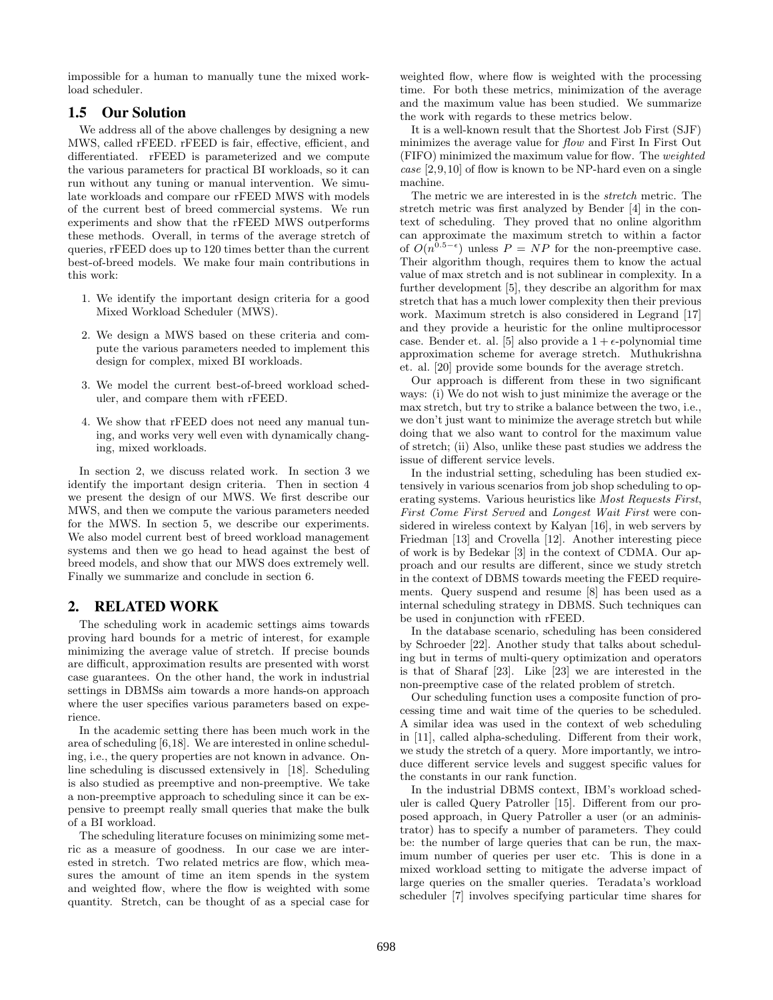impossible for a human to manually tune the mixed workload scheduler.

# 1.5 Our Solution

We address all of the above challenges by designing a new MWS, called rFEED. rFEED is fair, effective, efficient, and differentiated. rFEED is parameterized and we compute the various parameters for practical BI workloads, so it can run without any tuning or manual intervention. We simulate workloads and compare our rFEED MWS with models of the current best of breed commercial systems. We run experiments and show that the rFEED MWS outperforms these methods. Overall, in terms of the average stretch of queries, rFEED does up to 120 times better than the current best-of-breed models. We make four main contributions in this work:

- 1. We identify the important design criteria for a good Mixed Workload Scheduler (MWS).
- 2. We design a MWS based on these criteria and compute the various parameters needed to implement this design for complex, mixed BI workloads.
- 3. We model the current best-of-breed workload scheduler, and compare them with rFEED.
- 4. We show that rFEED does not need any manual tuning, and works very well even with dynamically changing, mixed workloads.

In section 2, we discuss related work. In section 3 we identify the important design criteria. Then in section 4 we present the design of our MWS. We first describe our MWS, and then we compute the various parameters needed for the MWS. In section 5, we describe our experiments. We also model current best of breed workload management systems and then we go head to head against the best of breed models, and show that our MWS does extremely well. Finally we summarize and conclude in section 6.

# 2. RELATED WORK

The scheduling work in academic settings aims towards proving hard bounds for a metric of interest, for example minimizing the average value of stretch. If precise bounds are difficult, approximation results are presented with worst case guarantees. On the other hand, the work in industrial settings in DBMSs aim towards a more hands-on approach where the user specifies various parameters based on experience.

In the academic setting there has been much work in the area of scheduling [6,18]. We are interested in online scheduling, i.e., the query properties are not known in advance. Online scheduling is discussed extensively in [18]. Scheduling is also studied as preemptive and non-preemptive. We take a non-preemptive approach to scheduling since it can be expensive to preempt really small queries that make the bulk of a BI workload.

The scheduling literature focuses on minimizing some metric as a measure of goodness. In our case we are interested in stretch. Two related metrics are flow, which measures the amount of time an item spends in the system and weighted flow, where the flow is weighted with some quantity. Stretch, can be thought of as a special case for weighted flow, where flow is weighted with the processing time. For both these metrics, minimization of the average and the maximum value has been studied. We summarize the work with regards to these metrics below.

It is a well-known result that the Shortest Job First (SJF) minimizes the average value for flow and First In First Out (FIFO) minimized the maximum value for flow. The weighted case  $[2,9,10]$  of flow is known to be NP-hard even on a single machine.

The metric we are interested in is the stretch metric. The stretch metric was first analyzed by Bender [4] in the context of scheduling. They proved that no online algorithm can approximate the maximum stretch to within a factor of  $O(n^{0.5-\epsilon})$  unless  $P = NP$  for the non-preemptive case. Their algorithm though, requires them to know the actual value of max stretch and is not sublinear in complexity. In a further development [5], they describe an algorithm for max stretch that has a much lower complexity then their previous work. Maximum stretch is also considered in Legrand [17] and they provide a heuristic for the online multiprocessor case. Bender et. al. [5] also provide a  $1 + \epsilon$ -polynomial time approximation scheme for average stretch. Muthukrishna et. al. [20] provide some bounds for the average stretch.

Our approach is different from these in two significant ways: (i) We do not wish to just minimize the average or the max stretch, but try to strike a balance between the two, i.e., we don't just want to minimize the average stretch but while doing that we also want to control for the maximum value of stretch; (ii) Also, unlike these past studies we address the issue of different service levels.

In the industrial setting, scheduling has been studied extensively in various scenarios from job shop scheduling to operating systems. Various heuristics like Most Requests First, First Come First Served and Longest Wait First were considered in wireless context by Kalyan [16], in web servers by Friedman [13] and Crovella [12]. Another interesting piece of work is by Bedekar [3] in the context of CDMA. Our approach and our results are different, since we study stretch in the context of DBMS towards meeting the FEED requirements. Query suspend and resume [8] has been used as a internal scheduling strategy in DBMS. Such techniques can be used in conjunction with rFEED.

In the database scenario, scheduling has been considered by Schroeder [22]. Another study that talks about scheduling but in terms of multi-query optimization and operators is that of Sharaf [23]. Like [23] we are interested in the non-preemptive case of the related problem of stretch.

Our scheduling function uses a composite function of processing time and wait time of the queries to be scheduled. A similar idea was used in the context of web scheduling in [11], called alpha-scheduling. Different from their work, we study the stretch of a query. More importantly, we introduce different service levels and suggest specific values for the constants in our rank function.

In the industrial DBMS context, IBM's workload scheduler is called Query Patroller [15]. Different from our proposed approach, in Query Patroller a user (or an administrator) has to specify a number of parameters. They could be: the number of large queries that can be run, the maximum number of queries per user etc. This is done in a mixed workload setting to mitigate the adverse impact of large queries on the smaller queries. Teradata's workload scheduler [7] involves specifying particular time shares for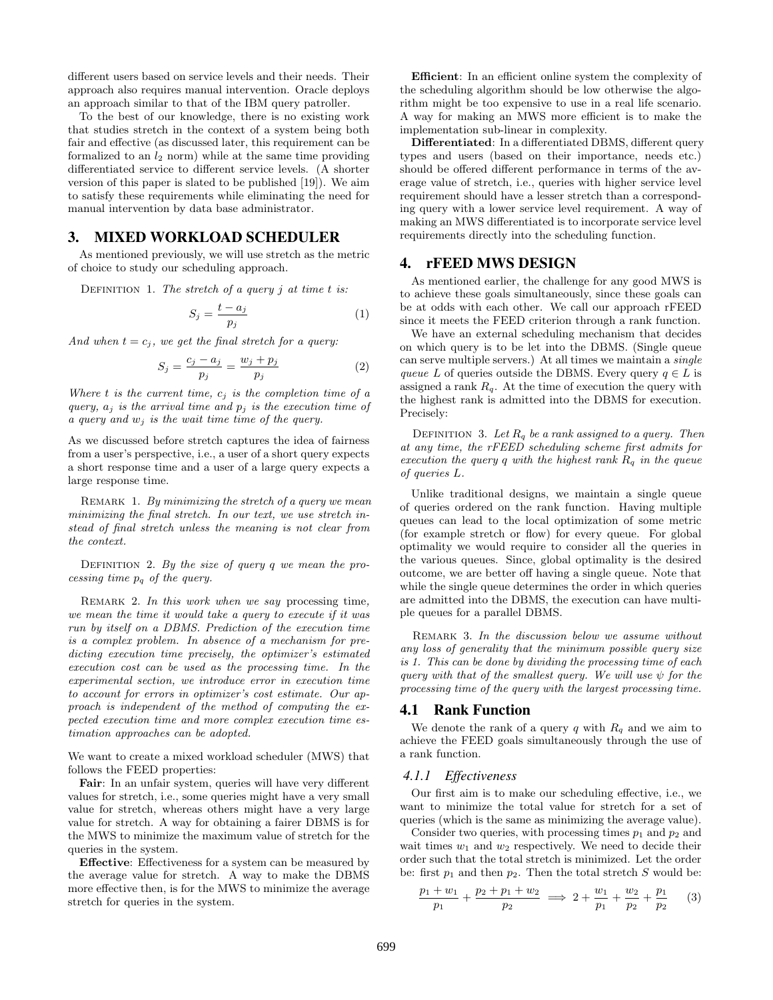different users based on service levels and their needs. Their approach also requires manual intervention. Oracle deploys an approach similar to that of the IBM query patroller.

To the best of our knowledge, there is no existing work that studies stretch in the context of a system being both fair and effective (as discussed later, this requirement can be formalized to an  $l_2$  norm) while at the same time providing differentiated service to different service levels. (A shorter version of this paper is slated to be published [19]). We aim to satisfy these requirements while eliminating the need for manual intervention by data base administrator.

# 3. MIXED WORKLOAD SCHEDULER

As mentioned previously, we will use stretch as the metric of choice to study our scheduling approach.

DEFINITION 1. The stretch of a query  $j$  at time  $t$  is:

$$
S_j = \frac{t - a_j}{p_j} \tag{1}
$$

And when  $t = c_j$ , we get the final stretch for a query:

$$
S_j = \frac{c_j - a_j}{p_j} = \frac{w_j + p_j}{p_j}
$$
 (2)

Where t is the current time,  $c_j$  is the completion time of a query,  $a_i$  is the arrival time and  $p_i$  is the execution time of a query and  $w_i$  is the wait time time of the query.

As we discussed before stretch captures the idea of fairness from a user's perspective, i.e., a user of a short query expects a short response time and a user of a large query expects a large response time.

REMARK 1. By minimizing the stretch of a query we mean minimizing the final stretch. In our text, we use stretch instead of final stretch unless the meaning is not clear from the context.

DEFINITION 2. By the size of query  $q$  we mean the processing time  $p_q$  of the query.

REMARK 2. In this work when we say processing time, we mean the time it would take a query to execute if it was run by itself on a DBMS. Prediction of the execution time is a complex problem. In absence of a mechanism for predicting execution time precisely, the optimizer's estimated execution cost can be used as the processing time. In the experimental section, we introduce error in execution time to account for errors in optimizer's cost estimate. Our approach is independent of the method of computing the expected execution time and more complex execution time estimation approaches can be adopted.

We want to create a mixed workload scheduler (MWS) that follows the FEED properties:

Fair: In an unfair system, queries will have very different values for stretch, i.e., some queries might have a very small value for stretch, whereas others might have a very large value for stretch. A way for obtaining a fairer DBMS is for the MWS to minimize the maximum value of stretch for the queries in the system.

Effective: Effectiveness for a system can be measured by the average value for stretch. A way to make the DBMS more effective then, is for the MWS to minimize the average stretch for queries in the system.

Efficient: In an efficient online system the complexity of the scheduling algorithm should be low otherwise the algorithm might be too expensive to use in a real life scenario. A way for making an MWS more efficient is to make the implementation sub-linear in complexity.

Differentiated: In a differentiated DBMS, different query types and users (based on their importance, needs etc.) should be offered different performance in terms of the average value of stretch, i.e., queries with higher service level requirement should have a lesser stretch than a corresponding query with a lower service level requirement. A way of making an MWS differentiated is to incorporate service level requirements directly into the scheduling function.

# 4. rFEED MWS DESIGN

As mentioned earlier, the challenge for any good MWS is to achieve these goals simultaneously, since these goals can be at odds with each other. We call our approach rFEED since it meets the FEED criterion through a rank function.

We have an external scheduling mechanism that decides on which query is to be let into the DBMS. (Single queue can serve multiple servers.) At all times we maintain a single queue L of queries outside the DBMS. Every query  $q \in L$  is assigned a rank  $R_q$ . At the time of execution the query with the highest rank is admitted into the DBMS for execution. Precisely:

DEFINITION 3. Let  $R_q$  be a rank assigned to a query. Then at any time, the rFEED scheduling scheme first admits for execution the query q with the highest rank  $R_q$  in the queue of queries L.

Unlike traditional designs, we maintain a single queue of queries ordered on the rank function. Having multiple queues can lead to the local optimization of some metric (for example stretch or flow) for every queue. For global optimality we would require to consider all the queries in the various queues. Since, global optimality is the desired outcome, we are better off having a single queue. Note that while the single queue determines the order in which queries are admitted into the DBMS, the execution can have multiple queues for a parallel DBMS.

REMARK 3. In the discussion below we assume without any loss of generality that the minimum possible query size is 1. This can be done by dividing the processing time of each query with that of the smallest query. We will use  $\psi$  for the processing time of the query with the largest processing time.

#### 4.1 Rank Function

We denote the rank of a query  $q$  with  $R_q$  and we aim to achieve the FEED goals simultaneously through the use of a rank function.

#### *4.1.1 Effectiveness*

Our first aim is to make our scheduling effective, i.e., we want to minimize the total value for stretch for a set of queries (which is the same as minimizing the average value).

Consider two queries, with processing times  $p_1$  and  $p_2$  and wait times  $w_1$  and  $w_2$  respectively. We need to decide their order such that the total stretch is minimized. Let the order be: first  $p_1$  and then  $p_2$ . Then the total stretch S would be:

$$
\frac{p_1 + w_1}{p_1} + \frac{p_2 + p_1 + w_2}{p_2} \implies 2 + \frac{w_1}{p_1} + \frac{w_2}{p_2} + \frac{p_1}{p_2} \tag{3}
$$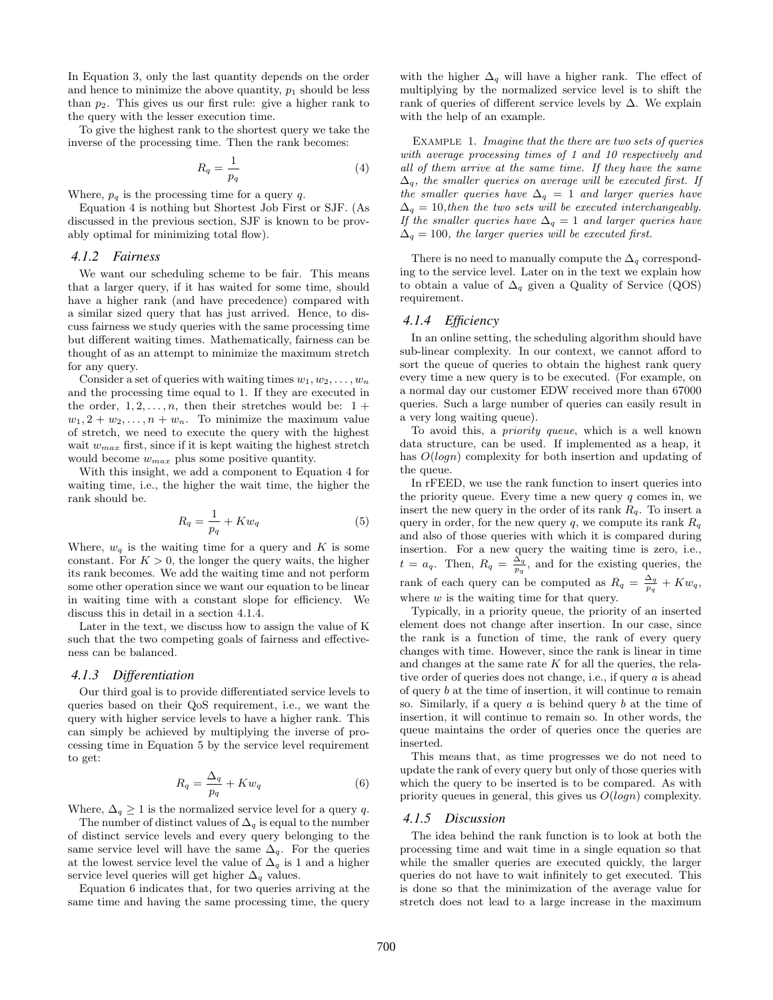In Equation 3, only the last quantity depends on the order and hence to minimize the above quantity,  $p_1$  should be less than  $p_2$ . This gives us our first rule: give a higher rank to the query with the lesser execution time.

To give the highest rank to the shortest query we take the inverse of the processing time. Then the rank becomes:

$$
R_q = \frac{1}{p_q} \tag{4}
$$

Where,  $p_q$  is the processing time for a query q.

Equation 4 is nothing but Shortest Job First or SJF. (As discussed in the previous section, SJF is known to be provably optimal for minimizing total flow).

#### *4.1.2 Fairness*

We want our scheduling scheme to be fair. This means that a larger query, if it has waited for some time, should have a higher rank (and have precedence) compared with a similar sized query that has just arrived. Hence, to discuss fairness we study queries with the same processing time but different waiting times. Mathematically, fairness can be thought of as an attempt to minimize the maximum stretch for any query.

Consider a set of queries with waiting times  $w_1, w_2, \ldots, w_n$ and the processing time equal to 1. If they are executed in the order,  $1, 2, \ldots, n$ , then their stretches would be:  $1 +$  $w_1, 2 + w_2, \ldots, n + w_n$ . To minimize the maximum value of stretch, we need to execute the query with the highest wait  $w_{max}$  first, since if it is kept waiting the highest stretch would become  $w_{max}$  plus some positive quantity.

With this insight, we add a component to Equation 4 for waiting time, i.e., the higher the wait time, the higher the rank should be.

$$
R_q = \frac{1}{p_q} + Kw_q \tag{5}
$$

Where,  $w_q$  is the waiting time for a query and K is some constant. For  $K > 0$ , the longer the query waits, the higher its rank becomes. We add the waiting time and not perform some other operation since we want our equation to be linear in waiting time with a constant slope for efficiency. We discuss this in detail in a section 4.1.4.

Later in the text, we discuss how to assign the value of K such that the two competing goals of fairness and effectiveness can be balanced.

#### *4.1.3 Differentiation*

Our third goal is to provide differentiated service levels to queries based on their QoS requirement, i.e., we want the query with higher service levels to have a higher rank. This can simply be achieved by multiplying the inverse of processing time in Equation 5 by the service level requirement to get:

$$
R_q = \frac{\Delta_q}{p_q} + Kw_q \tag{6}
$$

Where,  $\Delta_q \geq 1$  is the normalized service level for a query q.

The number of distinct values of  $\Delta_q$  is equal to the number of distinct service levels and every query belonging to the same service level will have the same  $\Delta_q$ . For the queries at the lowest service level the value of  $\Delta_q$  is 1 and a higher service level queries will get higher  $\Delta_q$  values.

Equation 6 indicates that, for two queries arriving at the same time and having the same processing time, the query with the higher  $\Delta_q$  will have a higher rank. The effect of multiplying by the normalized service level is to shift the rank of queries of different service levels by  $\Delta$ . We explain with the help of an example.

Example 1. Imagine that the there are two sets of queries with average processing times of 1 and 10 respectively and all of them arrive at the same time. If they have the same  $\Delta_q$ , the smaller queries on average will be executed first. If the smaller queries have  $\Delta_q = 1$  and larger queries have  $\Delta_q = 10$ , then the two sets will be executed interchangeably. If the smaller queries have  $\Delta_q = 1$  and larger queries have  $\Delta_q = 100$ , the larger queries will be executed first.

There is no need to manually compute the  $\Delta_q$  corresponding to the service level. Later on in the text we explain how to obtain a value of  $\Delta_q$  given a Quality of Service (QOS) requirement.

#### *4.1.4 Efficiency*

In an online setting, the scheduling algorithm should have sub-linear complexity. In our context, we cannot afford to sort the queue of queries to obtain the highest rank query every time a new query is to be executed. (For example, on a normal day our customer EDW received more than 67000 queries. Such a large number of queries can easily result in a very long waiting queue).

To avoid this, a priority queue, which is a well known data structure, can be used. If implemented as a heap, it has  $O(logn)$  complexity for both insertion and updating of the queue.

In rFEED, we use the rank function to insert queries into the priority queue. Every time a new query  $q$  comes in, we insert the new query in the order of its rank  $R_q$ . To insert a query in order, for the new query q, we compute its rank  $R_q$ and also of those queries with which it is compared during insertion. For a new query the waiting time is zero, i.e.,  $t = a_q$ . Then,  $R_q = \frac{\Delta_q}{p_q}$ , and for the existing queries, the rank of each query can be computed as  $R_q = \frac{\Delta_q}{p_q} + Kw_q$ , where  $w$  is the waiting time for that query.

Typically, in a priority queue, the priority of an inserted element does not change after insertion. In our case, since the rank is a function of time, the rank of every query changes with time. However, since the rank is linear in time and changes at the same rate  $K$  for all the queries, the relative order of queries does not change, i.e., if query a is ahead of query b at the time of insertion, it will continue to remain so. Similarly, if a query  $a$  is behind query  $b$  at the time of insertion, it will continue to remain so. In other words, the queue maintains the order of queries once the queries are inserted.

This means that, as time progresses we do not need to update the rank of every query but only of those queries with which the query to be inserted is to be compared. As with priority queues in general, this gives us  $O(logn)$  complexity.

#### *4.1.5 Discussion*

The idea behind the rank function is to look at both the processing time and wait time in a single equation so that while the smaller queries are executed quickly, the larger queries do not have to wait infinitely to get executed. This is done so that the minimization of the average value for stretch does not lead to a large increase in the maximum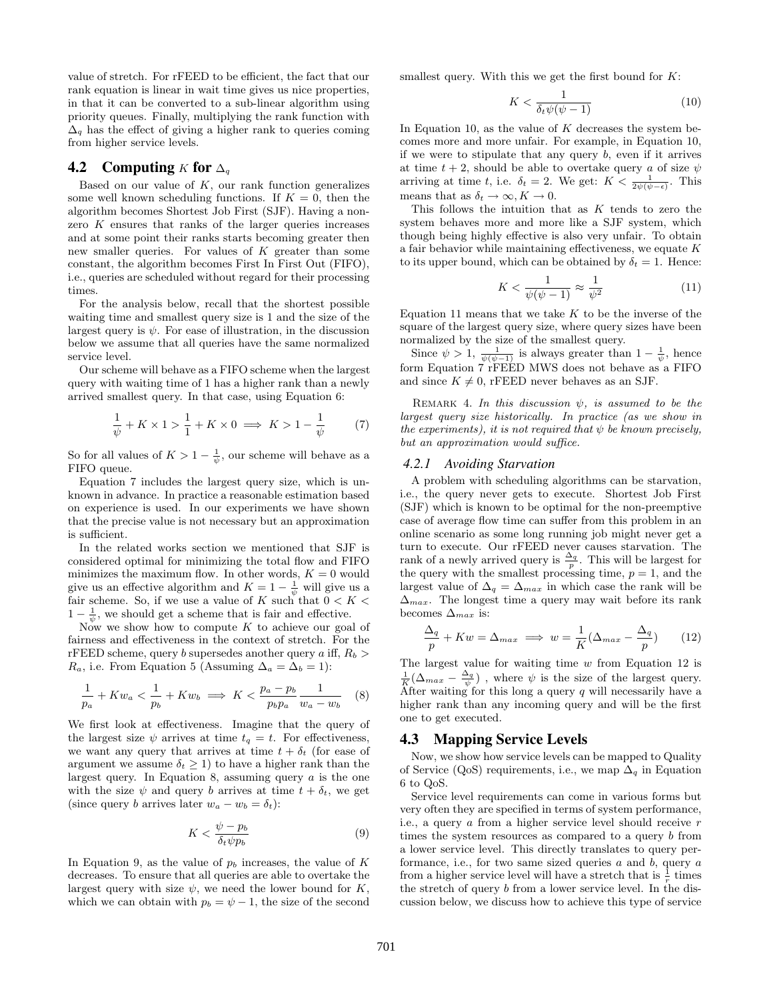value of stretch. For rFEED to be efficient, the fact that our rank equation is linear in wait time gives us nice properties, in that it can be converted to a sub-linear algorithm using priority queues. Finally, multiplying the rank function with  $\Delta_q$  has the effect of giving a higher rank to queries coming from higher service levels.

#### 4.2 Computing K for  $\Delta_q$

Based on our value of  $K$ , our rank function generalizes some well known scheduling functions. If  $K = 0$ , then the algorithm becomes Shortest Job First (SJF). Having a nonzero K ensures that ranks of the larger queries increases and at some point their ranks starts becoming greater then new smaller queries. For values of  $K$  greater than some constant, the algorithm becomes First In First Out (FIFO), i.e., queries are scheduled without regard for their processing times.

For the analysis below, recall that the shortest possible waiting time and smallest query size is 1 and the size of the largest query is  $\psi$ . For ease of illustration, in the discussion below we assume that all queries have the same normalized service level.

Our scheme will behave as a FIFO scheme when the largest query with waiting time of 1 has a higher rank than a newly arrived smallest query. In that case, using Equation 6:

$$
\frac{1}{\psi} + K \times 1 > \frac{1}{1} + K \times 0 \implies K > 1 - \frac{1}{\psi} \tag{7}
$$

So for all values of  $K > 1 - \frac{1}{\psi}$ , our scheme will behave as a FIFO queue.

Equation 7 includes the largest query size, which is unknown in advance. In practice a reasonable estimation based on experience is used. In our experiments we have shown that the precise value is not necessary but an approximation is sufficient.

In the related works section we mentioned that SJF is considered optimal for minimizing the total flow and FIFO minimizes the maximum flow. In other words,  $K = 0$  would give us an effective algorithm and  $K = 1 - \frac{1}{\psi}$  will give us a fair scheme. So, if we use a value of K such that  $0 < K <$  $1 - \frac{1}{\psi}$ , we should get a scheme that is fair and effective.

Now we show how to compute  $K$  to achieve our goal of fairness and effectiveness in the context of stretch. For the rFEED scheme, query b supersedes another query a iff,  $R_b$  $R_a$ , i.e. From Equation 5 (Assuming  $\Delta_a = \Delta_b = 1$ ):

$$
\frac{1}{p_a} + Kw_a < \frac{1}{p_b} + Kw_b \implies K < \frac{p_a - p_b}{p_b p_a} \frac{1}{w_a - w_b} \tag{8}
$$

We first look at effectiveness. Imagine that the query of the largest size  $\psi$  arrives at time  $t_q = t$ . For effectiveness, we want any query that arrives at time  $t + \delta_t$  (for ease of argument we assume  $\delta_t \geq 1$ ) to have a higher rank than the largest query. In Equation 8, assuming query  $a$  is the one with the size  $\psi$  and query b arrives at time  $t + \delta_t$ , we get (since query b arrives later  $w_a - w_b = \delta_t$ ):

$$
K < \frac{\psi - p_b}{\delta_t \psi p_b} \tag{9}
$$

In Equation 9, as the value of  $p<sub>b</sub>$  increases, the value of K decreases. To ensure that all queries are able to overtake the largest query with size  $\psi$ , we need the lower bound for K, which we can obtain with  $p_b = \psi - 1$ , the size of the second smallest query. With this we get the first bound for  $K$ :

$$
K < \frac{1}{\delta_t \psi(\psi - 1)}\tag{10}
$$

In Equation 10, as the value of  $K$  decreases the system becomes more and more unfair. For example, in Equation 10, if we were to stipulate that any query  $b$ , even if it arrives at time  $t + 2$ , should be able to overtake query a of size  $\psi$ arriving at time t, i.e.  $\delta_t = 2$ . We get:  $K < \frac{1}{2\psi(\psi - \epsilon)}$ . This means that as  $\delta_t \to \infty, K \to 0$ .

This follows the intuition that as  $K$  tends to zero the system behaves more and more like a SJF system, which though being highly effective is also very unfair. To obtain a fair behavior while maintaining effectiveness, we equate K to its upper bound, which can be obtained by  $\delta_t = 1$ . Hence:

$$
K < \frac{1}{\psi(\psi - 1)} \approx \frac{1}{\psi^2} \tag{11}
$$

Equation 11 means that we take  $K$  to be the inverse of the square of the largest query size, where query sizes have been normalized by the size of the smallest query.

Since  $\psi > 1$ ,  $\frac{1}{\psi(\psi-1)}$  is always greater than  $1-\frac{1}{\psi}$ , hence form Equation 7 rFEED MWS does not behave as a FIFO and since  $K \neq 0$ , rFEED never behaves as an SJF.

REMARK 4. In this discussion  $\psi$ , is assumed to be the largest query size historically. In practice (as we show in the experiments), it is not required that  $\psi$  be known precisely, but an approximation would suffice.

#### *4.2.1 Avoiding Starvation*

A problem with scheduling algorithms can be starvation, i.e., the query never gets to execute. Shortest Job First (SJF) which is known to be optimal for the non-preemptive case of average flow time can suffer from this problem in an online scenario as some long running job might never get a turn to execute. Our rFEED never causes starvation. The rank of a newly arrived query is  $\frac{\Delta_q}{p}$ . This will be largest for the query with the smallest processing time,  $p = 1$ , and the largest value of  $\Delta_q = \Delta_{max}$  in which case the rank will be  $\Delta_{max}$ . The longest time a query may wait before its rank becomes  $\Delta_{max}$  is:

$$
\frac{\Delta_q}{p} + Kw = \Delta_{max} \implies w = \frac{1}{K}(\Delta_{max} - \frac{\Delta_q}{p}) \tag{12}
$$

The largest value for waiting time  $w$  from Equation 12 is  $\frac{1}{K}(\Delta_{max}-\frac{\Delta_q}{\psi})$ , where  $\psi$  is the size of the largest query. After waiting for this long a query  $q$  will necessarily have a higher rank than any incoming query and will be the first one to get executed.

#### 4.3 Mapping Service Levels

Now, we show how service levels can be mapped to Quality of Service (QoS) requirements, i.e., we map  $\Delta_q$  in Equation 6 to QoS.

Service level requirements can come in various forms but very often they are specified in terms of system performance, i.e., a query a from a higher service level should receive r times the system resources as compared to a query b from a lower service level. This directly translates to query performance, i.e., for two same sized queries  $a$  and  $b$ , query  $a$ from a higher service level will have a stretch that is  $\frac{1}{r}$  times the stretch of query b from a lower service level. In the discussion below, we discuss how to achieve this type of service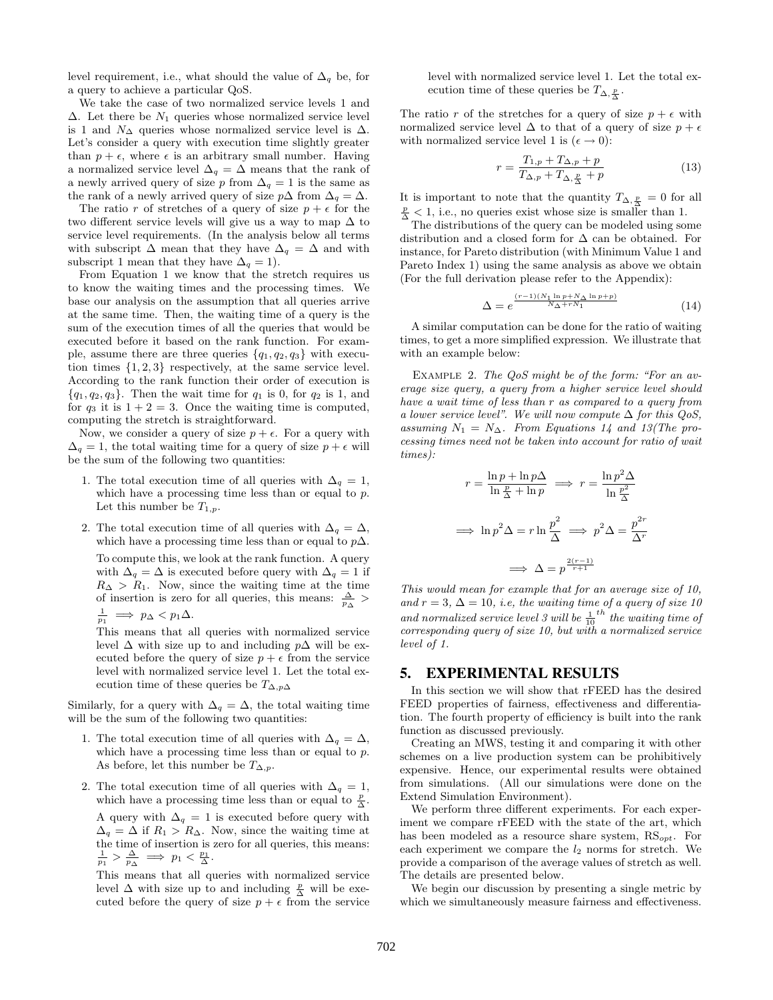level requirement, i.e., what should the value of  $\Delta_q$  be, for a query to achieve a particular QoS.

We take the case of two normalized service levels 1 and  $\Delta$ . Let there be  $N_1$  queries whose normalized service level is 1 and  $N_{\Delta}$  queries whose normalized service level is  $\Delta$ . Let's consider a query with execution time slightly greater than  $p + \epsilon$ , where  $\epsilon$  is an arbitrary small number. Having a normalized service level  $\Delta_q = \Delta$  means that the rank of a newly arrived query of size p from  $\Delta_q = 1$  is the same as the rank of a newly arrived query of size  $p\Delta$  from  $\Delta_q = \Delta$ .

The ratio r of stretches of a query of size  $p + \epsilon$  for the two different service levels will give us a way to map  $\Delta$  to service level requirements. (In the analysis below all terms with subscript  $\Delta$  mean that they have  $\Delta_q = \Delta$  and with subscript 1 mean that they have  $\Delta_q = 1$ ).

From Equation 1 we know that the stretch requires us to know the waiting times and the processing times. We base our analysis on the assumption that all queries arrive at the same time. Then, the waiting time of a query is the sum of the execution times of all the queries that would be executed before it based on the rank function. For example, assume there are three queries  ${q_1, q_2, q_3}$  with execution times  $\{1, 2, 3\}$  respectively, at the same service level. According to the rank function their order of execution is  ${q_1, q_2, q_3}$ . Then the wait time for  $q_1$  is 0, for  $q_2$  is 1, and for  $q_3$  it is  $1 + 2 = 3$ . Once the waiting time is computed, computing the stretch is straightforward.

Now, we consider a query of size  $p + \epsilon$ . For a query with  $\Delta_q = 1$ , the total waiting time for a query of size  $p + \epsilon$  will be the sum of the following two quantities:

- 1. The total execution time of all queries with  $\Delta_q = 1$ , which have a processing time less than or equal to  $p$ . Let this number be  $T_{1,p}$ .
- 2. The total execution time of all queries with  $\Delta_q = \Delta$ , which have a processing time less than or equal to  $p\Delta$ . To compute this, we look at the rank function. A query with  $\Delta_q = \Delta$  is executed before query with  $\Delta_q = 1$  if  $R<sub>\Delta</sub> > R<sub>1</sub>$ . Now, since the waiting time at the time of insertion is zero for all queries, this means:  $\frac{\Delta}{p\Delta}$  >  $\frac{1}{p_1} \implies p_\Delta < p_1 \Delta.$

This means that all queries with normalized service level  $\Delta$  with size up to and including  $p\Delta$  will be executed before the query of size  $p + \epsilon$  from the service level with normalized service level 1. Let the total execution time of these queries be  $T_{\Delta,p\Delta}$ 

Similarly, for a query with  $\Delta_q = \Delta$ , the total waiting time will be the sum of the following two quantities:

- 1. The total execution time of all queries with  $\Delta_q = \Delta$ , which have a processing time less than or equal to p. As before, let this number be  $T_{\Delta,p}$ .
- 2. The total execution time of all queries with  $\Delta_q = 1$ , which have a processing time less than or equal to  $\frac{p}{\Delta}$ . A query with  $\Delta_q = 1$  is executed before query with  $\Delta_q = \Delta$  if  $R_1 > R_{\Delta}$ . Now, since the waiting time at the time of insertion is zero for all queries, this means:  $\frac{1}{p_1} > \frac{\Delta}{p_{\Delta}} \implies p_1 < \frac{p_1}{\Delta}.$

This means that all queries with normalized service level  $\Delta$  with size up to and including  $\frac{p}{\Delta}$  will be executed before the query of size  $p + \epsilon$  from the service level with normalized service level 1. Let the total execution time of these queries be  $T_{\Delta,\frac{p}{\Delta}}.$ 

The ratio r of the stretches for a query of size  $p + \epsilon$  with normalized service level  $\Delta$  to that of a query of size  $p + \epsilon$ with normalized service level 1 is  $(\epsilon \to 0)$ :

$$
r = \frac{T_{1,p} + T_{\Delta,p} + p}{T_{\Delta,p} + T_{\Delta,\frac{p}{\Delta}} + p} \tag{13}
$$

It is important to note that the quantity  $T_{\Delta, \frac{p}{\Delta}} = 0$  for all  $\frac{p}{\Delta}$  < 1, i.e., no queries exist whose size is smaller than 1.

The distributions of the query can be modeled using some distribution and a closed form for  $\Delta$  can be obtained. For instance, for Pareto distribution (with Minimum Value 1 and Pareto Index 1) using the same analysis as above we obtain (For the full derivation please refer to the Appendix):

$$
\Delta = e^{\frac{(r-1)(N_1 \ln p + N_\Delta \ln p + p)}{N_\Delta + r N_1}}
$$
\n(14)

A similar computation can be done for the ratio of waiting times, to get a more simplified expression. We illustrate that with an example below:

Example 2. The QoS might be of the form: "For an average size query, a query from a higher service level should have a wait time of less than r as compared to a query from a lower service level". We will now compute  $\Delta$  for this  $QoS$ , assuming  $N_1 = N_\Delta$ . From Equations 14 and 13(The processing times need not be taken into account for ratio of wait times):

$$
r = \frac{\ln p + \ln p\Delta}{\ln \frac{p}{\Delta} + \ln p} \implies r = \frac{\ln p^2 \Delta}{\ln \frac{p^2}{\Delta}}
$$

$$
\implies \ln p^2 \Delta = r \ln \frac{p^2}{\Delta} \implies p^2 \Delta = \frac{p^{2r}}{\Delta^r}
$$

$$
\implies \Delta = p^{\frac{2(r-1)}{r+1}}
$$

This would mean for example that for an average size of 10, and  $r = 3$ ,  $\Delta = 10$ , *i.e.* the waiting time of a query of size 10 and normalized service level 3 will be  $\frac{1}{10}$ <sup>th</sup> the waiting time of corresponding query of size 10, but with a normalized service level of 1.

#### 5. EXPERIMENTAL RESULTS

In this section we will show that rFEED has the desired FEED properties of fairness, effectiveness and differentiation. The fourth property of efficiency is built into the rank function as discussed previously.

Creating an MWS, testing it and comparing it with other schemes on a live production system can be prohibitively expensive. Hence, our experimental results were obtained from simulations. (All our simulations were done on the Extend Simulation Environment).

We perform three different experiments. For each experiment we compare rFEED with the state of the art, which has been modeled as a resource share system,  $RS_{opt}$ . For each experiment we compare the  $l_2$  norms for stretch. We provide a comparison of the average values of stretch as well. The details are presented below.

We begin our discussion by presenting a single metric by which we simultaneously measure fairness and effectiveness.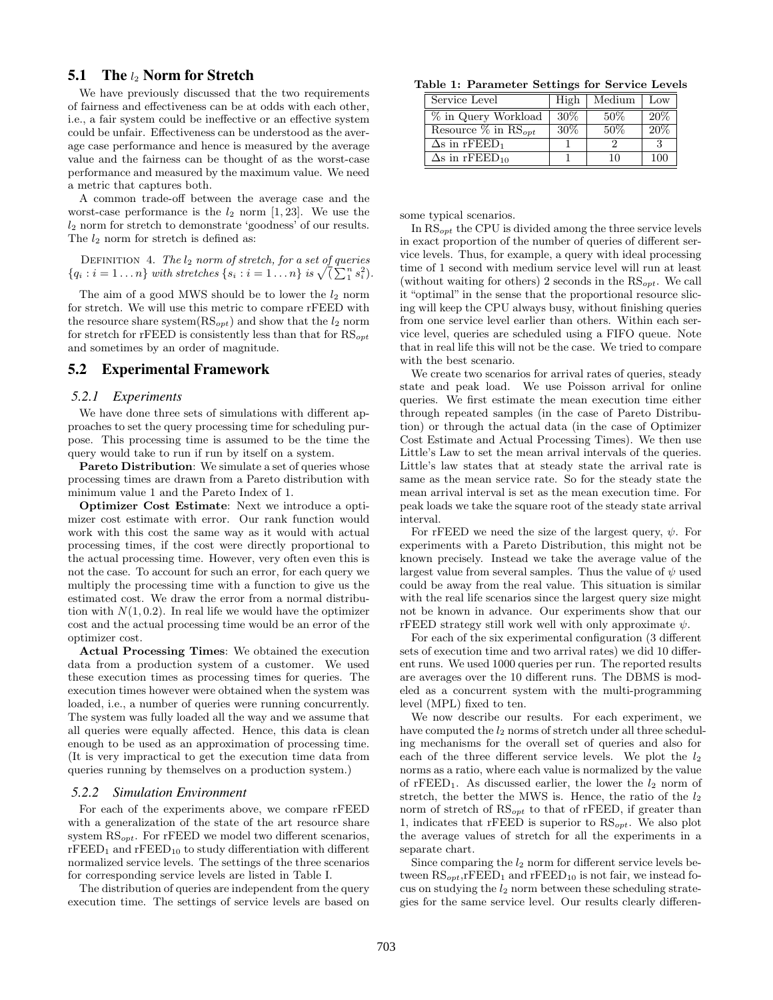# **5.1** The  $l_2$  Norm for Stretch

We have previously discussed that the two requirements of fairness and effectiveness can be at odds with each other, i.e., a fair system could be ineffective or an effective system could be unfair. Effectiveness can be understood as the average case performance and hence is measured by the average value and the fairness can be thought of as the worst-case performance and measured by the maximum value. We need a metric that captures both.

A common trade-off between the average case and the worst-case performance is the  $l_2$  norm [1, 23]. We use the l<sup>2</sup> norm for stretch to demonstrate 'goodness' of our results. The  $l_2$  norm for stretch is defined as:

DEFINITION 4. The  $l_2$  norm of stretch, for a set of queries DEFINITION 4. The  $l_2$  norm of stretch, for a set of queries  $\{q_i : i = 1 \dots n\}$  with stretches  $\{s_i : i = 1 \dots n\}$  is  $\sqrt{(\sum_{1}^{n} s_i^2)}$ .

The aim of a good MWS should be to lower the  $l_2$  norm for stretch. We will use this metric to compare rFEED with the resource share system( $\mathrm{RS}_{opt}$ ) and show that the  $l_2$  norm for stretch for rFEED is consistently less than that for  $RS_{opt}$ and sometimes by an order of magnitude.

## 5.2 Experimental Framework

#### *5.2.1 Experiments*

We have done three sets of simulations with different approaches to set the query processing time for scheduling purpose. This processing time is assumed to be the time the query would take to run if run by itself on a system.

Pareto Distribution: We simulate a set of queries whose processing times are drawn from a Pareto distribution with minimum value 1 and the Pareto Index of 1.

Optimizer Cost Estimate: Next we introduce a optimizer cost estimate with error. Our rank function would work with this cost the same way as it would with actual processing times, if the cost were directly proportional to the actual processing time. However, very often even this is not the case. To account for such an error, for each query we multiply the processing time with a function to give us the estimated cost. We draw the error from a normal distribution with  $N(1, 0.2)$ . In real life we would have the optimizer cost and the actual processing time would be an error of the optimizer cost.

Actual Processing Times: We obtained the execution data from a production system of a customer. We used these execution times as processing times for queries. The execution times however were obtained when the system was loaded, i.e., a number of queries were running concurrently. The system was fully loaded all the way and we assume that all queries were equally affected. Hence, this data is clean enough to be used as an approximation of processing time. (It is very impractical to get the execution time data from queries running by themselves on a production system.)

#### *5.2.2 Simulation Environment*

For each of the experiments above, we compare rFEED with a generalization of the state of the art resource share system  $\text{RS}_{opt}$ . For rFEED we model two different scenarios,  $rFEED<sub>1</sub>$  and  $rFEED<sub>10</sub>$  to study differentiation with different normalized service levels. The settings of the three scenarios for corresponding service levels are listed in Table I.

The distribution of queries are independent from the query execution time. The settings of service levels are based on

Table 1: Parameter Settings for Service Levels

| Service Level                      | High   | Medium | $_{\text{Low}}$ |
|------------------------------------|--------|--------|-----------------|
| % in Query Workload                | $30\%$ | 50%    | 20\%            |
| Resource $\%$ in RS <sub>opt</sub> | 30%    | 50%    | 20%             |
| $\Delta s$ in rFEED <sub>1</sub>   |        |        |                 |
| $\Delta s$ in rFEED <sub>10</sub>  |        | 10     | 100             |

some typical scenarios.

In  $RS_{opt}$  the CPU is divided among the three service levels in exact proportion of the number of queries of different service levels. Thus, for example, a query with ideal processing time of 1 second with medium service level will run at least (without waiting for others) 2 seconds in the  $RS_{opt}$ . We call it "optimal" in the sense that the proportional resource slicing will keep the CPU always busy, without finishing queries from one service level earlier than others. Within each service level, queries are scheduled using a FIFO queue. Note that in real life this will not be the case. We tried to compare with the best scenario.

We create two scenarios for arrival rates of queries, steady state and peak load. We use Poisson arrival for online queries. We first estimate the mean execution time either through repeated samples (in the case of Pareto Distribution) or through the actual data (in the case of Optimizer Cost Estimate and Actual Processing Times). We then use Little's Law to set the mean arrival intervals of the queries. Little's law states that at steady state the arrival rate is same as the mean service rate. So for the steady state the mean arrival interval is set as the mean execution time. For peak loads we take the square root of the steady state arrival interval.

For rFEED we need the size of the largest query,  $\psi$ . For experiments with a Pareto Distribution, this might not be known precisely. Instead we take the average value of the largest value from several samples. Thus the value of  $\psi$  used could be away from the real value. This situation is similar with the real life scenarios since the largest query size might not be known in advance. Our experiments show that our rFEED strategy still work well with only approximate  $\psi$ .

For each of the six experimental configuration (3 different sets of execution time and two arrival rates) we did 10 different runs. We used 1000 queries per run. The reported results are averages over the 10 different runs. The DBMS is modeled as a concurrent system with the multi-programming level (MPL) fixed to ten.

We now describe our results. For each experiment, we have computed the  $l_2$  norms of stretch under all three scheduling mechanisms for the overall set of queries and also for each of the three different service levels. We plot the  $l_2$ norms as a ratio, where each value is normalized by the value of rFEED<sub>1</sub>. As discussed earlier, the lower the  $l_2$  norm of stretch, the better the MWS is. Hence, the ratio of the  $l_2$ norm of stretch of  $RS_{opt}$  to that of rFEED, if greater than 1, indicates that rFEED is superior to  $RS_{opt}$ . We also plot the average values of stretch for all the experiments in a separate chart.

Since comparing the  $l_2$  norm for different service levels between  $\text{RS}_{opt}$ , rFEED<sub>1</sub> and rFEED<sub>10</sub> is not fair, we instead focus on studying the  $l_2$  norm between these scheduling strategies for the same service level. Our results clearly differen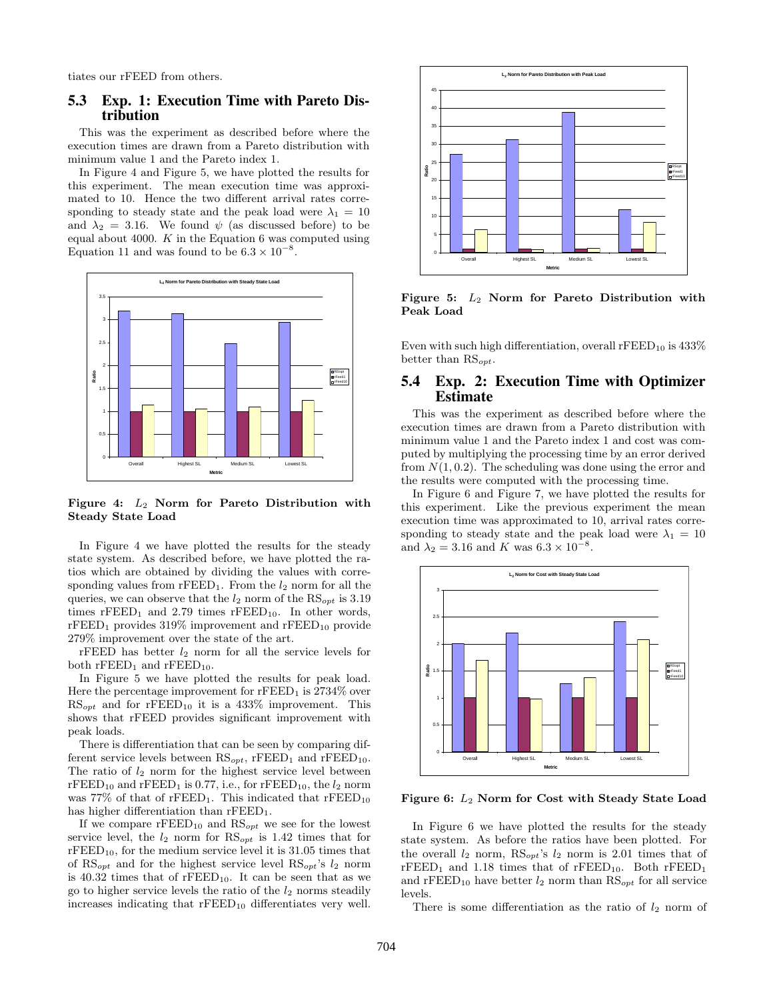tiates our rFEED from others.

# 5.3 Exp. 1: Execution Time with Pareto Distribution

This was the experiment as described before where the execution times are drawn from a Pareto distribution with minimum value 1 and the Pareto index 1.

In Figure 4 and Figure 5, we have plotted the results for this experiment. The mean execution time was approximated to 10. Hence the two different arrival rates corresponding to steady state and the peak load were  $\lambda_1 = 10$ and  $\lambda_2 = 3.16$ . We found  $\psi$  (as discussed before) to be equal about 4000.  $K$  in the Equation 6 was computed using Equation 11 and was found to be  $6.3 \times 10^{-8}$ .



Figure 4:  $L_2$  Norm for Pareto Distribution with Steady State Load

In Figure 4 we have plotted the results for the steady state system. As described before, we have plotted the ratios which are obtained by dividing the values with corresponding values from  $rFEED_1$ . From the  $l_2$  norm for all the queries, we can observe that the  $l_2$  norm of the  $RS_{opt}$  is 3.19 times  $rFEED_1$  and 2.79 times  $rFEED_{10}$ . In other words,  $rFEED<sub>1</sub>$  provides 319% improvement and  $rFEED<sub>10</sub>$  provide 279% improvement over the state of the art.

rFEED has better  $l_2$  norm for all the service levels for both  $rFEED_1$  and  $rFEED_{10}$ .

In Figure 5 we have plotted the results for peak load. Here the percentage improvement for  $rFEED_1$  is  $2734\%$  over  $RS_{opt}$  and for rFEED<sub>10</sub> it is a 433\% improvement. This shows that rFEED provides significant improvement with peak loads.

There is differentiation that can be seen by comparing different service levels between  $\text{RS}_{opt}$ , rFEED<sub>1</sub> and rFEED<sub>10</sub>. The ratio of  $l_2$  norm for the highest service level between  $rFEED_{10}$  and  $rFEED_1$  is 0.77, i.e., for  $rFEED_{10}$ , the  $l_2$  norm was 77% of that of  $r\text{FEED}_1$ . This indicated that  $r\text{FEED}_{10}$ has higher differentiation than  $rFEED_1$ .

If we compare  $\text{rFEED}_{10}$  and  $\text{RS}_{opt}$  we see for the lowest service level, the  $l_2$  norm for  $RS_{opt}$  is 1.42 times that for  $rFEED<sub>10</sub>$ , for the medium service level it is 31.05 times that of  $RS_{opt}$  and for the highest service level  $RS_{opt}$ 's  $l_2$  norm is  $40.32$  times that of  $rFEED_{10}$ . It can be seen that as we go to higher service levels the ratio of the  $l_2$  norms steadily increases indicating that rFEED<sup>10</sup> differentiates very well.



Figure 5:  $L_2$  Norm for Pareto Distribution with Peak Load

Even with such high differentiation, overall  $\text{rFEED}_{10}$  is  $433\%$ better than  $RS_{opt}$ .

# 5.4 Exp. 2: Execution Time with Optimizer Estimate

This was the experiment as described before where the execution times are drawn from a Pareto distribution with minimum value 1 and the Pareto index 1 and cost was computed by multiplying the processing time by an error derived from  $N(1, 0.2)$ . The scheduling was done using the error and the results were computed with the processing time.

In Figure 6 and Figure 7, we have plotted the results for this experiment. Like the previous experiment the mean execution time was approximated to 10, arrival rates corresponding to steady state and the peak load were  $\lambda_1 = 10$ and  $\lambda_2 = 3.16$  and K was  $6.3 \times 10^{-8}$ .



Figure 6:  $L_2$  Norm for Cost with Steady State Load

In Figure 6 we have plotted the results for the steady state system. As before the ratios have been plotted. For the overall  $l_2$  norm,  $RS_{opt}$ 's  $l_2$  norm is 2.01 times that of  $rFEED<sub>1</sub>$  and 1.18 times that of  $rFEED<sub>10</sub>$ . Both  $rFEED<sub>1</sub>$ and rFEED<sub>10</sub> have better  $l_2$  norm than  $RS_{opt}$  for all service levels.

There is some differentiation as the ratio of  $l_2$  norm of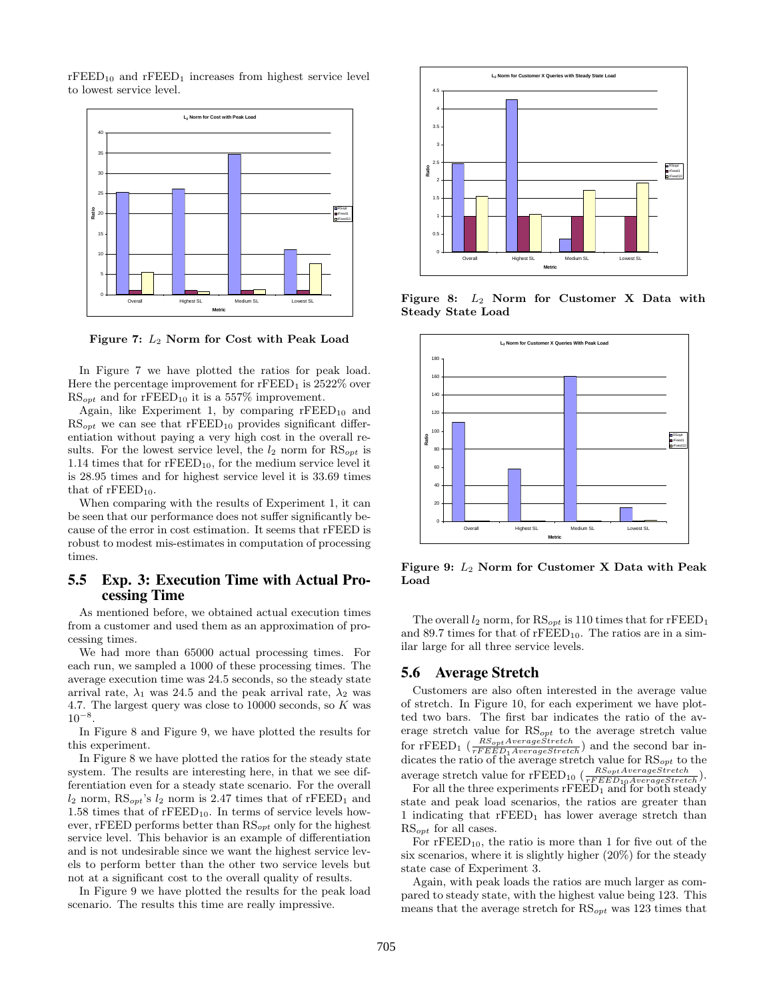$rFEED_{10}$  and  $rFEED_1$  increases from highest service level to lowest service level.



Figure 7: L<sup>2</sup> Norm for Cost with Peak Load

In Figure 7 we have plotted the ratios for peak load. Here the percentage improvement for  $rFEED_1$  is  $2522\%$  over  $RS_{opt}$  and for rFEED<sub>10</sub> it is a 557% improvement.

Again, like Experiment 1, by comparing  $rFEED_{10}$  and  $RS_{opt}$  we can see that rFEED<sub>10</sub> provides significant differentiation without paying a very high cost in the overall results. For the lowest service level, the  $l_2$  norm for  $RS_{opt}$  is 1.14 times that for  $rFEED_{10}$ , for the medium service level it is 28.95 times and for highest service level it is 33.69 times that of  $rFEED<sub>10</sub>$ .

When comparing with the results of Experiment 1, it can be seen that our performance does not suffer significantly because of the error in cost estimation. It seems that rFEED is robust to modest mis-estimates in computation of processing times.

## 5.5 Exp. 3: Execution Time with Actual Processing Time

As mentioned before, we obtained actual execution times from a customer and used them as an approximation of processing times.

We had more than 65000 actual processing times. For each run, we sampled a 1000 of these processing times. The average execution time was 24.5 seconds, so the steady state arrival rate,  $\lambda_1$  was 24.5 and the peak arrival rate,  $\lambda_2$  was 4.7. The largest query was close to 10000 seconds, so K was  $10^{-8}$ .

In Figure 8 and Figure 9, we have plotted the results for this experiment.

In Figure 8 we have plotted the ratios for the steady state system. The results are interesting here, in that we see differentiation even for a steady state scenario. For the overall  $l_2$  norm,  $\text{RS}_{opt}$ 's  $l_2$  norm is 2.47 times that of rFEED<sub>1</sub> and 1.58 times that of  $rFEED_{10}$ . In terms of service levels however, rFEED performs better than  $\text{RS}_{opt}$  only for the highest service level. This behavior is an example of differentiation and is not undesirable since we want the highest service levels to perform better than the other two service levels but not at a significant cost to the overall quality of results.

In Figure 9 we have plotted the results for the peak load scenario. The results this time are really impressive.



Figure 8: L<sup>2</sup> Norm for Customer X Data with Steady State Load



Figure 9:  $L_2$  Norm for Customer X Data with Peak Load

The overall  $l_2$  norm, for  $\mathrm{RS}_{opt}$  is 110 times that for  $\mathrm{rFEED}_1$ and 89.7 times for that of  $rFEED_{10}$ . The ratios are in a similar large for all three service levels.

## 5.6 Average Stretch

Customers are also often interested in the average value of stretch. In Figure 10, for each experiment we have plotted two bars. The first bar indicates the ratio of the average stretch value for  $RS_{opt}$  to the average stretch value for rFEED<sub>1</sub> ( $\frac{RS_{opt}Average Streetch}{rFEED_1Average Streetch}$ ) and the second bar indicates the ratio of the average stretch value for  $RS_{opt}$  to the average stretch value for r $\text{FEED}_{10}$  ( $\frac{RS_{opt} Average Streetch}{rFEED_{10} Average Streetch}$ ).

For all the three experiments  $r\text{FEED}_1$  and for both steady state and peak load scenarios, the ratios are greater than 1 indicating that rFEED<sup>1</sup> has lower average stretch than  $RS_{opt}$  for all cases.

For  $rFEED_{10}$ , the ratio is more than 1 for five out of the six scenarios, where it is slightly higher (20%) for the steady state case of Experiment 3.

Again, with peak loads the ratios are much larger as compared to steady state, with the highest value being 123. This means that the average stretch for  $RS_{opt}$  was 123 times that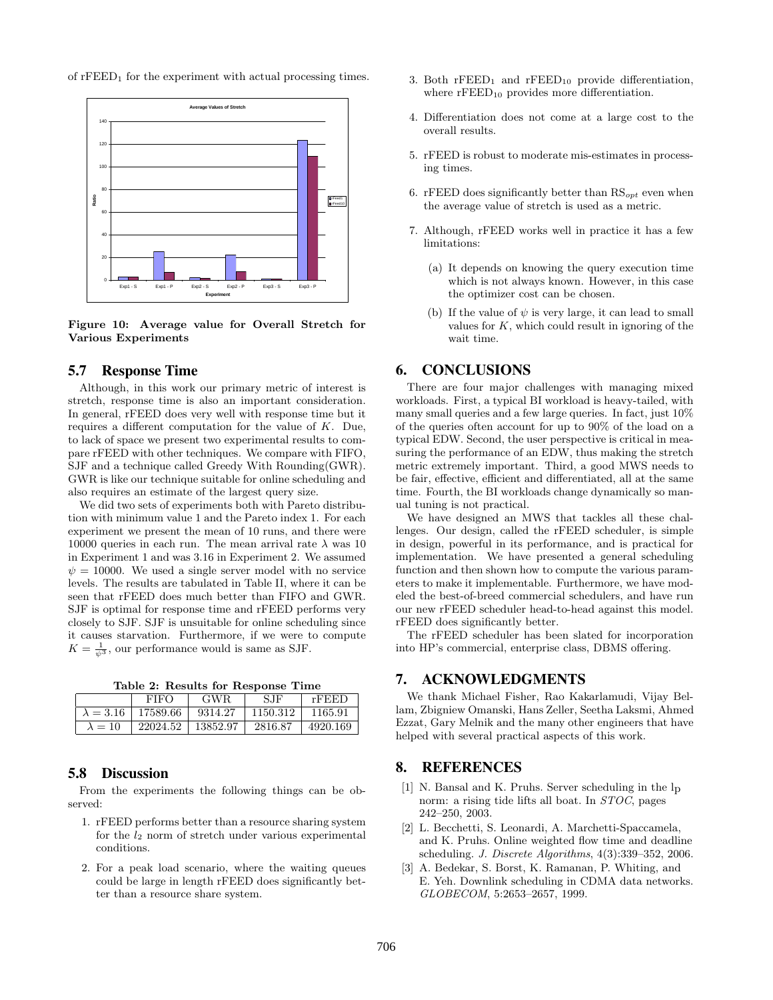of  $rFEED<sub>1</sub>$  for the experiment with actual processing times.



Figure 10: Average value for Overall Stretch for Various Experiments

#### 5.7 Response Time

Although, in this work our primary metric of interest is stretch, response time is also an important consideration. In general, rFEED does very well with response time but it requires a different computation for the value of  $K$ . Due, to lack of space we present two experimental results to compare rFEED with other techniques. We compare with FIFO, SJF and a technique called Greedy With Rounding(GWR). GWR is like our technique suitable for online scheduling and also requires an estimate of the largest query size.

We did two sets of experiments both with Pareto distribution with minimum value 1 and the Pareto index 1. For each experiment we present the mean of 10 runs, and there were 10000 queries in each run. The mean arrival rate  $\lambda$  was 10 in Experiment 1 and was 3.16 in Experiment 2. We assumed  $\psi = 10000$ . We used a single server model with no service levels. The results are tabulated in Table II, where it can be seen that rFEED does much better than FIFO and GWR. SJF is optimal for response time and rFEED performs very closely to SJF. SJF is unsuitable for online scheduling since it causes starvation. Furthermore, if we were to compute  $K = \frac{1}{\psi^3}$ , our performance would is same as SJF.

Table 2: Results for Response Time

|                  | <b>FIFO</b> | GWR      | SJF      | $r$ FEED |
|------------------|-------------|----------|----------|----------|
| $\lambda = 3.16$ | 17589.66    | 9314.27  | 1150.312 | 1165.91  |
| $\lambda = 10$   | 22024.52    | 13852.97 | 2816.87  | 4920.169 |

### 5.8 Discussion

From the experiments the following things can be observed:

- 1. rFEED performs better than a resource sharing system for the  $l_2$  norm of stretch under various experimental conditions.
- 2. For a peak load scenario, where the waiting queues could be large in length rFEED does significantly better than a resource share system.
- 3. Both  $rFEED_1$  and  $rFEED_{10}$  provide differentiation, where  $rFEED_{10}$  provides more differentiation.
- 4. Differentiation does not come at a large cost to the overall results.
- 5. rFEED is robust to moderate mis-estimates in processing times.
- 6. rFEED does significantly better than  $RS_{opt}$  even when the average value of stretch is used as a metric.
- 7. Although, rFEED works well in practice it has a few limitations:
	- (a) It depends on knowing the query execution time which is not always known. However, in this case the optimizer cost can be chosen.
	- (b) If the value of  $\psi$  is very large, it can lead to small values for  $K$ , which could result in ignoring of the wait time.

#### 6. CONCLUSIONS

There are four major challenges with managing mixed workloads. First, a typical BI workload is heavy-tailed, with many small queries and a few large queries. In fact, just 10% of the queries often account for up to 90% of the load on a typical EDW. Second, the user perspective is critical in measuring the performance of an EDW, thus making the stretch metric extremely important. Third, a good MWS needs to be fair, effective, efficient and differentiated, all at the same time. Fourth, the BI workloads change dynamically so manual tuning is not practical.

We have designed an MWS that tackles all these challenges. Our design, called the rFEED scheduler, is simple in design, powerful in its performance, and is practical for implementation. We have presented a general scheduling function and then shown how to compute the various parameters to make it implementable. Furthermore, we have modeled the best-of-breed commercial schedulers, and have run our new rFEED scheduler head-to-head against this model. rFEED does significantly better.

The rFEED scheduler has been slated for incorporation into HP's commercial, enterprise class, DBMS offering.

# 7. ACKNOWLEDGMENTS

We thank Michael Fisher, Rao Kakarlamudi, Vijay Bellam, Zbigniew Omanski, Hans Zeller, Seetha Laksmi, Ahmed Ezzat, Gary Melnik and the many other engineers that have helped with several practical aspects of this work.

# 8. REFERENCES

- [1] N. Bansal and K. Pruhs. Server scheduling in the lp norm: a rising tide lifts all boat. In STOC, pages 242–250, 2003.
- [2] L. Becchetti, S. Leonardi, A. Marchetti-Spaccamela, and K. Pruhs. Online weighted flow time and deadline scheduling. J. Discrete Algorithms, 4(3):339–352, 2006.
- [3] A. Bedekar, S. Borst, K. Ramanan, P. Whiting, and E. Yeh. Downlink scheduling in CDMA data networks. GLOBECOM, 5:2653–2657, 1999.